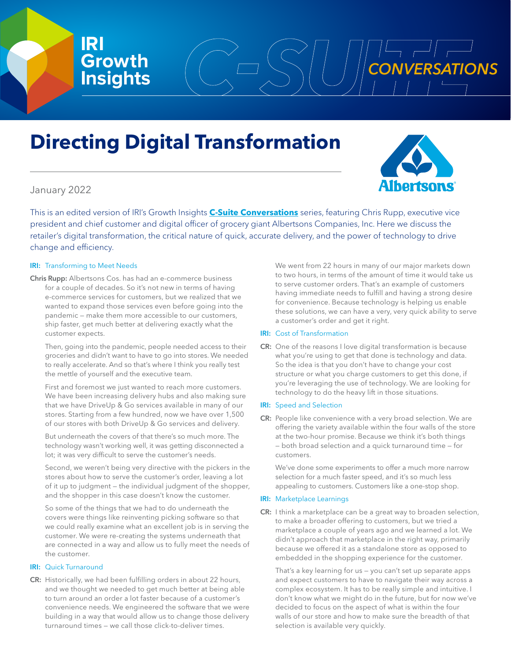**Growth**

**IRI**

# **Directing Digital Transformation**



**Insights** CONVERSATIONS

# January 2022

This is an edited version of IRI's Growth Insights **[C-Suite Conversations](https://www.iriworldwide.com/en-us/insights/publications/csuite)** series, featuring Chris Rupp, executive vice president and chief customer and digital officer of grocery giant Albertsons Companies, Inc. Here we discuss the retailer's digital transformation, the critical nature of quick, accurate delivery, and the power of technology to drive change and efficiency.

## **IRI:** Transforming to Meet Needs

Chris Rupp: Albertsons Cos. has had an e-commerce business for a couple of decades. So it's not new in terms of having e-commerce services for customers, but we realized that we wanted to expand those services even before going into the pandemic — make them more accessible to our customers, ship faster, get much better at delivering exactly what the customer expects.

Then, going into the pandemic, people needed access to their groceries and didn't want to have to go into stores. We needed to really accelerate. And so that's where I think you really test the mettle of yourself and the executive team.

First and foremost we just wanted to reach more customers. We have been increasing delivery hubs and also making sure that we have DriveUp & Go services available in many of our stores. Starting from a few hundred, now we have over 1,500 of our stores with both DriveUp & Go services and delivery.

But underneath the covers of that there's so much more. The technology wasn't working well, it was getting disconnected a lot; it was very difficult to serve the customer's needs.

Second, we weren't being very directive with the pickers in the stores about how to serve the customer's order, leaving a lot of it up to judgment — the individual judgment of the shopper, and the shopper in this case doesn't know the customer.

So some of the things that we had to do underneath the covers were things like reinventing picking software so that we could really examine what an excellent job is in serving the customer. We were re-creating the systems underneath that are connected in a way and allow us to fully meet the needs of the customer.

### IRI: Quick Turnaround

CR: Historically, we had been fulfilling orders in about 22 hours, and we thought we needed to get much better at being able to turn around an order a lot faster because of a customer's convenience needs. We engineered the software that we were building in a way that would allow us to change those delivery turnaround times — we call those click-to-deliver times.

We went from 22 hours in many of our major markets down to two hours, in terms of the amount of time it would take us to serve customer orders. That's an example of customers having immediate needs to fulfill and having a strong desire for convenience. Because technology is helping us enable these solutions, we can have a very, very quick ability to serve a customer's order and get it right.

### **IRI:** Cost of Transformation

CR: One of the reasons I love digital transformation is because what you're using to get that done is technology and data. So the idea is that you don't have to change your cost structure or what you charge customers to get this done, if you're leveraging the use of technology. We are looking for technology to do the heavy lift in those situations.

### **IRI:** Speed and Selection

CR: People like convenience with a very broad selection. We are offering the variety available within the four walls of the store at the two-hour promise. Because we think it's both things — both broad selection and a quick turnaround time — for customers.

We've done some experiments to offer a much more narrow selection for a much faster speed, and it's so much less appealing to customers. Customers like a one-stop shop.

### IRI: Marketplace Learnings

CR: I think a marketplace can be a great way to broaden selection, to make a broader offering to customers, but we tried a marketplace a couple of years ago and we learned a lot. We didn't approach that marketplace in the right way, primarily because we offered it as a standalone store as opposed to embedded in the shopping experience for the customer.

That's a key learning for us — you can't set up separate apps and expect customers to have to navigate their way across a complex ecosystem. It has to be really simple and intuitive. I don't know what we might do in the future, but for now we've decided to focus on the aspect of what is within the four walls of our store and how to make sure the breadth of that selection is available very quickly.